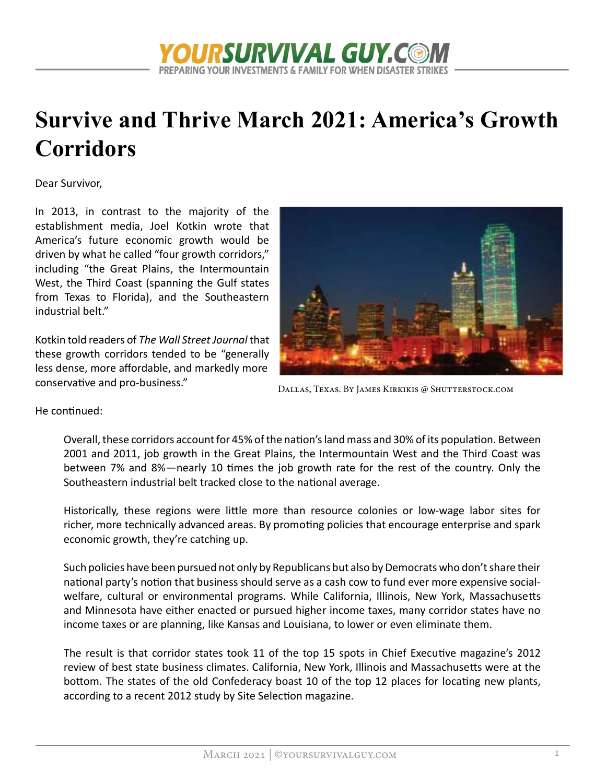

# Survive and Thrive March 2021: America's Growth Corridors

Dear Survivor,

In 2013, in contrast to the majority of the establishment media, Joel Kotkin wrote that America's future economic growth would be driven by what he called "four growth corridors," including "the Great Plains, the Intermountain West, the Third Coast (spanning the Gulf states from Texas to Florida), and the Southeastern industrial belt."

Kotkin told readers of The Wall Street Journal that these growth corridors tended to be "generally less dense, more affordable, and markedly more conservative and pro-business."



DALLAS, TEXAS. BY JAMES KIRKIKIS @ SHUTTERSTOCK.COM

He continued:

Overall, these corridors account for 45% of the nation's land mass and 30% of its population. Between 2001 and 2011, job growth in the Great Plains, the Intermountain West and the Third Coast was between 7% and 8%—nearly 10 times the job growth rate for the rest of the country. Only the Southeastern industrial belt tracked close to the national average.

Historically, these regions were little more than resource colonies or low-wage labor sites for richer, more technically advanced areas. By promoting policies that encourage enterprise and spark economic growth, they're catching up.

Such policies have been pursued not only by Republicans but also by Democrats who don't share their national party's notion that business should serve as a cash cow to fund ever more expensive socialwelfare, cultural or environmental programs. While California, Illinois, New York, Massachusetts and Minnesota have either enacted or pursued higher income taxes, many corridor states have no income taxes or are planning, like Kansas and Louisiana, to lower or even eliminate them.

The result is that corridor states took 11 of the top 15 spots in Chief Executive magazine's 2012 review of best state business climates. California, New York, Illinois and Massachusetts were at the bottom. The states of the old Confederacy boast 10 of the top 12 places for locating new plants, according to a recent 2012 study by Site Selection magazine.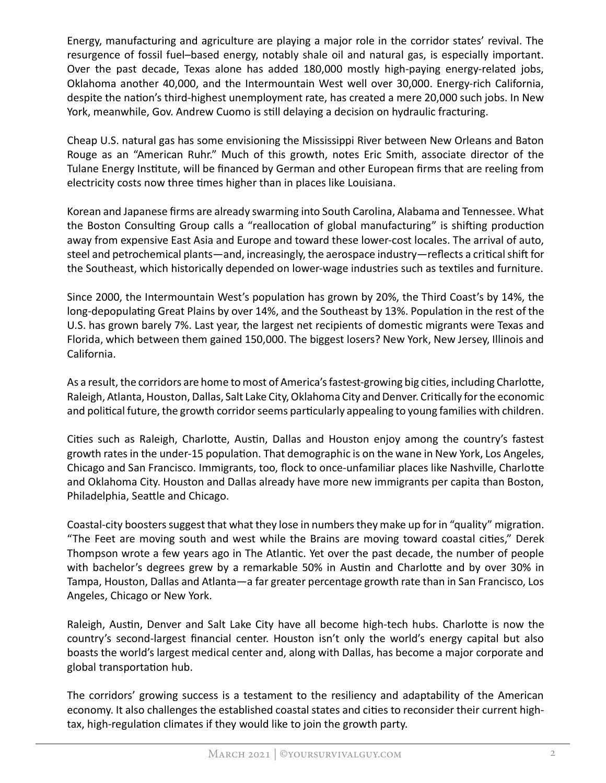Energy, manufacturing and agriculture are playing a major role in the corridor states' revival. The resurgence of fossil fuel–based energy, notably shale oil and natural gas, is especially important. Over the past decade, Texas alone has added 180,000 mostly high-paying energy-related jobs, Oklahoma another 40,000, and the Intermountain West well over 30,000. Energy-rich California, despite the nation's third-highest unemployment rate, has created a mere 20,000 such jobs. In New York, meanwhile, Gov. Andrew Cuomo is still delaying a decision on hydraulic fracturing.

Cheap U.S. natural gas has some envisioning the Mississippi River between New Orleans and Baton Rouge as an "American Ruhr." Much of this growth, notes Eric Smith, associate director of the Tulane Energy Institute, will be financed by German and other European firms that are reeling from electricity costs now three times higher than in places like Louisiana.

Korean and Japanese firms are already swarming into South Carolina, Alabama and Tennessee. What the Boston Consulting Group calls a "reallocation of global manufacturing" is shifting production away from expensive East Asia and Europe and toward these lower-cost locales. The arrival of auto, steel and petrochemical plants—and, increasingly, the aerospace industry—reflects a critical shift for the Southeast, which historically depended on lower-wage industries such as textiles and furniture.

Since 2000, the Intermountain West's population has grown by 20%, the Third Coast's by 14%, the long-depopulating Great Plains by over 14%, and the Southeast by 13%. Population in the rest of the U.S. has grown barely 7%. Last year, the largest net recipients of domestic migrants were Texas and Florida, which between them gained 150,000. The biggest losers? New York, New Jersey, Illinois and California.

As a result, the corridors are home to most of America's fastest-growing big cities, including Charlotte, Raleigh, Atlanta, Houston, Dallas, Salt Lake City, Oklahoma City and Denver. Critically for the economic and political future, the growth corridor seems particularly appealing to young families with children.

Cities such as Raleigh, Charlotte, Austin, Dallas and Houston enjoy among the country's fastest growth rates in the under-15 population. That demographic is on the wane in New York, Los Angeles, Chicago and San Francisco. Immigrants, too, flock to once-unfamiliar places like Nashville, Charlotte and Oklahoma City. Houston and Dallas already have more new immigrants per capita than Boston, Philadelphia, Seattle and Chicago.

Coastal-city boosters suggest that what they lose in numbers they make up for in "quality" migration. "The Feet are moving south and west while the Brains are moving toward coastal cities," Derek Thompson wrote a few years ago in The Atlantic. Yet over the past decade, the number of people with bachelor's degrees grew by a remarkable 50% in Austin and Charlotte and by over 30% in Tampa, Houston, Dallas and Atlanta—a far greater percentage growth rate than in San Francisco, Los Angeles, Chicago or New York.

Raleigh, Austin, Denver and Salt Lake City have all become high-tech hubs. Charlotte is now the country's second-largest financial center. Houston isn't only the world's energy capital but also boasts the world's largest medical center and, along with Dallas, has become a major corporate and global transportation hub.

The corridors' growing success is a testament to the resiliency and adaptability of the American economy. It also challenges the established coastal states and cities to reconsider their current hightax, high-regulation climates if they would like to join the growth party.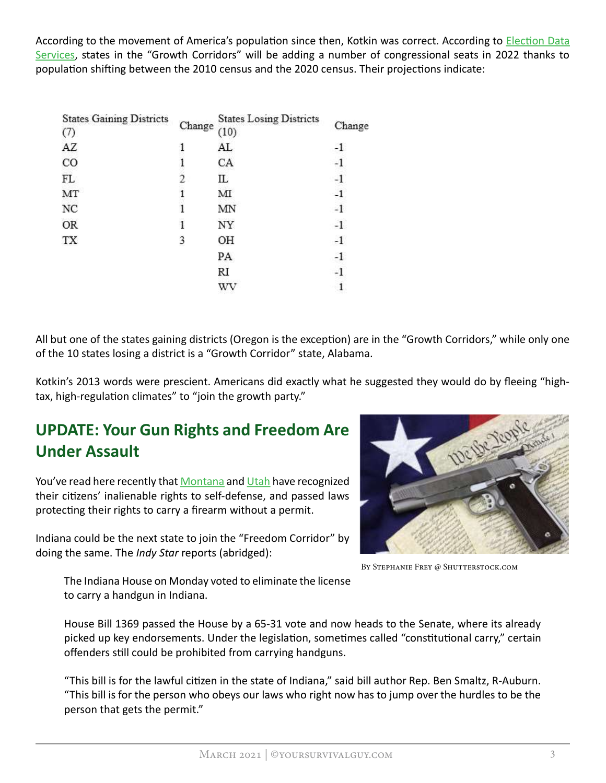According to the movement of America's population since then, Kotkin was correct. According to Election Data [Services,](https://www.electiondataservices.com/wp-content/uploads/2019/12/NR_Appor19wTablesMaps.pdf) states in the "Growth Corridors" will be adding a number of congressional seats in 2022 thanks to population shifting between the 2010 census and the 2020 census. Their projections indicate:

| <b>States Gaining Districts</b><br>(7) | Change | <b>States Losing Districts</b><br>(10) | Change |
|----------------------------------------|--------|----------------------------------------|--------|
| AZ                                     |        | AL                                     | -1     |
| $_{\rm CO}$                            |        | CA                                     | $-1$   |
| FL                                     |        | IL                                     | -1     |
| MT                                     |        | МІ                                     | -1     |
| NC                                     |        | MN                                     | $-1$   |
| OR                                     |        | $_{\mathrm{NY}}$                       | $-1$   |
| TX                                     | 3      | OН                                     | $-1$   |
|                                        |        | PA                                     | -1     |
|                                        |        | RI                                     | -1     |
|                                        |        | WV                                     |        |

All but one of the states gaining districts (Oregon is the exception) are in the "Growth Corridors," while only one of the 10 states losing a district is a "Growth Corridor" state, Alabama.

Kotkin's 2013 words were prescient. Americans did exactly what he suggested they would do by fleeing "hightax, high-regulation climates" to "join the growth party."

# UPDATE: Your Gun Rights and Freedom Are Under Assault

You've read here recently th[at Montana a](https://www.yoursurvivalguy.com/personal-security/get-your-gun-and-your-training-now/permitless-carry-corridor-expands-red-states-trouncing-blue-states-on-freedom/)nd [Utah h](https://www.yoursurvivalguy.com/personal-security/get-your-gun-and-your-training-now/utah-moves-toward-permitless-concealed-carry/)ave recognized their citizens' inalienable rights to self-defense, and passed laws protecting their rights to carry a firearm without a permit.

Indiana could be the next state to join the "Freedom Corridor" by doing the same. The Indy Star reports (abridged):



BY STEPHANIE FREY @ SHUTTERSTOCK.COM

The Indiana House on Monday voted to eliminate the license to carry a handgun in Indiana.

House Bill 1369 passed the House by a 65-31 vote and now heads to the Senate, where its already picked up key endorsements. Under the legislation, sometimes called "constitutional carry," certain offenders still could be prohibited from carrying handguns.

"This bill is for the lawful citizen in the state of Indiana," said bill author Rep. Ben Smaltz, R-Auburn. "This bill is for the person who obeys our laws who right now has to jump over the hurdles to be the person that gets the permit."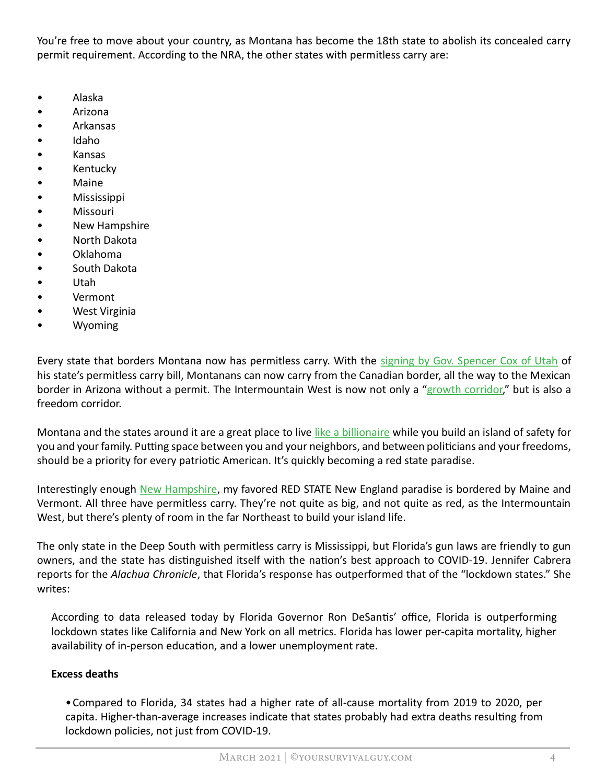You're free to move about your country, as Montana has become the 18th state to abolish its concealed carry permit requirement. According to the NRA, the other states with permitless carry are:

- Alaska
- Arizona
- Arkansas
- Idaho
- Kansas
- Kentucky
- Maine
- Mississippi
- **Missouri**
- New Hampshire
- North Dakota
- Oklahoma
- South Dakota
- Utah
- Vermont
- West Virginia
- Wyoming

Every state that borders Montana now has permitless carry. With the [signing by Gov. Spencer Cox of Utah](https://www.yoursurvivalguy.com/personal-security/get-your-gun-and-your-training-now/utah-moves-toward-permitless-concealed-carry/) of his state's permitless carry bill, Montanans can now carry from the Canadian border, all the way to the Mexican border in Arizona without a permit. The Intermountain West is now not only a ["growth corridor,"](https://www.yoursurvivalguy.com/financial-security/your-retirement-life/choosing-where-to-retire/americas-growth-corridors-as-written-in-2013-by-joel-kotkin/) but is also a freedom corridor.

Montana and the states around it are a great place to live [like a billionaire](https://www.yoursurvivalguy.com/financial-security/your-retirement-life-live-like-a-billionaire-here/) while you build an island of safety for you and your family. Putting space between you and your neighbors, and between politicians and your freedoms, should be a priority for every patriotic American. It's quickly becoming a red state paradise.

Interestingly enoug[h New Hampshire,](https://www.yoursurvivalguy.com/personal-security/101-reasons-to-move-to-new-hampshire/) my favored RED STATE New England paradise is bordered by Maine and Vermont. All three have permitless carry. They're not quite as big, and not quite as red, as the Intermountain West, but there's plenty of room in the far Northeast to build your island life.

The only state in the Deep South with permitless carry is Mississippi, but Florida's gun laws are friendly to gun owners, and the state has distinguished itself with the nation's best approach to COVID-19. Jennifer Cabrera reports for the Alachua Chronicle, that Florida's response has outperformed that of the "lockdown states." She writes:

According to data released today by Florida Governor Ron DeSantis' office, Florida is outperforming lockdown states like California and New York on all metrics. Florida has lower per-capita mortality, higher availability of in-person education, and a lower unemployment rate.

## Excess deaths

• Compared to Florida, 34 states had a higher rate of all-cause mortality from 2019 to 2020, per capita. Higher-than-average increases indicate that states probably had extra deaths resulting from lockdown policies, not just from COVID-19.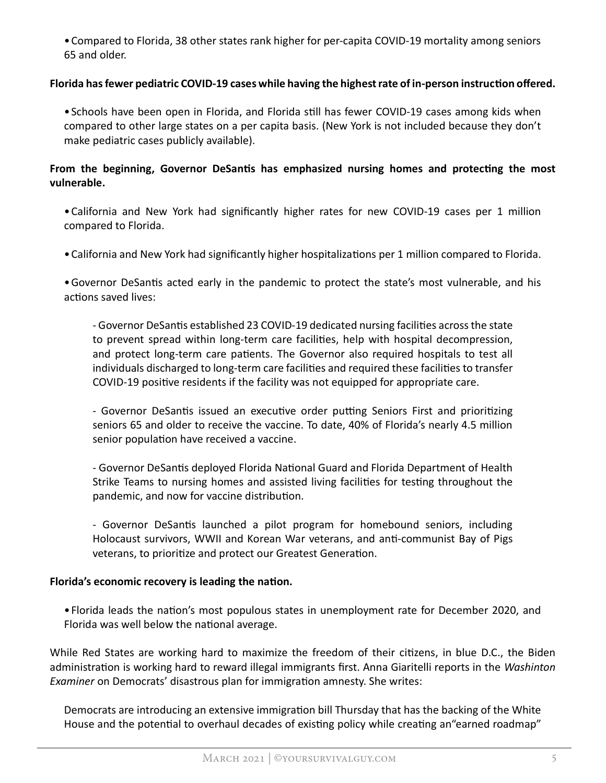• Compared to Florida, 38 other states rank higher for per-capita COVID-19 mortality among seniors 65 and older.

## Florida has fewer pediatric COVID-19 cases while having the highest rate of in-person instruction offered.

• Schools have been open in Florida, and Florida still has fewer COVID-19 cases among kids when compared to other large states on a per capita basis. (New York is not included because they don't make pediatric cases publicly available).

# From the beginning, Governor DeSantis has emphasized nursing homes and protecting the most vulnerable.

• California and New York had significantly higher rates for new COVID-19 cases per 1 million compared to Florida.

• California and New York had significantly higher hospitalizations per 1 million compared to Florida.

• Governor DeSanƟ s acted early in the pandemic to protect the state's most vulnerable, and his actions saved lives:

- Governor DeSantis established 23 COVID-19 dedicated nursing facilities across the state to prevent spread within long-term care facilities, help with hospital decompression, and protect long-term care patients. The Governor also required hospitals to test all individuals discharged to long-term care facilities and required these facilities to transfer COVID-19 positive residents if the facility was not equipped for appropriate care.

- Governor DeSantis issued an executive order putting Seniors First and prioritizing seniors 65 and older to receive the vaccine. To date, 40% of Florida's nearly 4.5 million senior population have received a vaccine.

- Governor DeSantis deployed Florida National Guard and Florida Department of Health Strike Teams to nursing homes and assisted living facilities for testing throughout the pandemic, and now for vaccine distribution.

- Governor DeSantis launched a pilot program for homebound seniors, including Holocaust survivors, WWII and Korean War veterans, and anti-communist Bay of Pigs veterans, to prioritize and protect our Greatest Generation.

## Florida's economic recovery is leading the nation.

• Florida leads the nation's most populous states in unemployment rate for December 2020, and Florida was well below the national average.

While Red States are working hard to maximize the freedom of their citizens, in blue D.C., the Biden administration is working hard to reward illegal immigrants first. Anna Giaritelli reports in the Washinton Examiner on Democrats' disastrous plan for immigration amnesty. She writes:

Democrats are introducing an extensive immigration bill Thursday that has the backing of the White House and the potential to overhaul decades of existing policy while creating an "earned roadmap"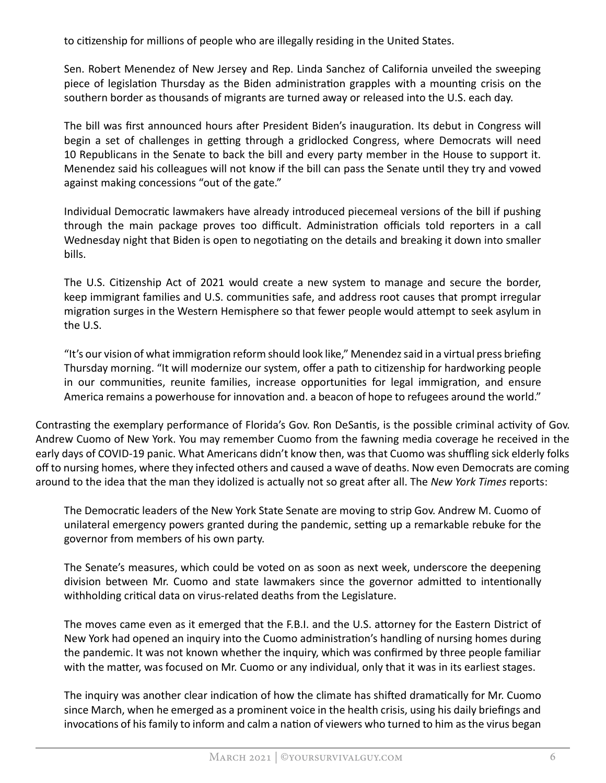to citizenship for millions of people who are illegally residing in the United States.

Sen. Robert Menendez of New Jersey and Rep. Linda Sanchez of California unveiled the sweeping piece of legislation Thursday as the Biden administration grapples with a mounting crisis on the southern border as thousands of migrants are turned away or released into the U.S. each day.

The bill was first announced hours after President Biden's inauguration. Its debut in Congress will begin a set of challenges in getting through a gridlocked Congress, where Democrats will need 10 Republicans in the Senate to back the bill and every party member in the House to support it. Menendez said his colleagues will not know if the bill can pass the Senate until they try and vowed against making concessions "out of the gate."

Individual Democratic lawmakers have already introduced piecemeal versions of the bill if pushing through the main package proves too difficult. Administration officials told reporters in a call Wednesday night that Biden is open to negotiating on the details and breaking it down into smaller bills.

The U.S. Citizenship Act of 2021 would create a new system to manage and secure the border, keep immigrant families and U.S. communities safe, and address root causes that prompt irregular migration surges in the Western Hemisphere so that fewer people would attempt to seek asylum in the U.S.

"It's our vision of what immigration reform should look like," Menendez said in a virtual press briefing Thursday morning. "It will modernize our system, offer a path to citizenship for hardworking people in our communities, reunite families, increase opportunities for legal immigration, and ensure America remains a powerhouse for innovation and. a beacon of hope to refugees around the world."

Contrasting the exemplary performance of Florida's Gov. Ron DeSantis, is the possible criminal activity of Gov. Andrew Cuomo of New York. You may remember Cuomo from the fawning media coverage he received in the early days of COVID-19 panic. What Americans didn't know then, was that Cuomo was shuffling sick elderly folks off to nursing homes, where they infected others and caused a wave of deaths. Now even Democrats are coming around to the idea that the man they idolized is actually not so great after all. The New York Times reports:

The Democratic leaders of the New York State Senate are moving to strip Gov. Andrew M. Cuomo of unilateral emergency powers granted during the pandemic, setting up a remarkable rebuke for the governor from members of his own party.

The Senate's measures, which could be voted on as soon as next week, underscore the deepening division between Mr. Cuomo and state lawmakers since the governor admitted to intentionally withholding critical data on virus-related deaths from the Legislature.

The moves came even as it emerged that the F.B.I. and the U.S. attorney for the Eastern District of New York had opened an inquiry into the Cuomo administration's handling of nursing homes during the pandemic. It was not known whether the inquiry, which was confirmed by three people familiar with the matter, was focused on Mr. Cuomo or any individual, only that it was in its earliest stages.

The inquiry was another clear indication of how the climate has shifted dramatically for Mr. Cuomo since March, when he emerged as a prominent voice in the health crisis, using his daily briefings and invocations of his family to inform and calm a nation of viewers who turned to him as the virus began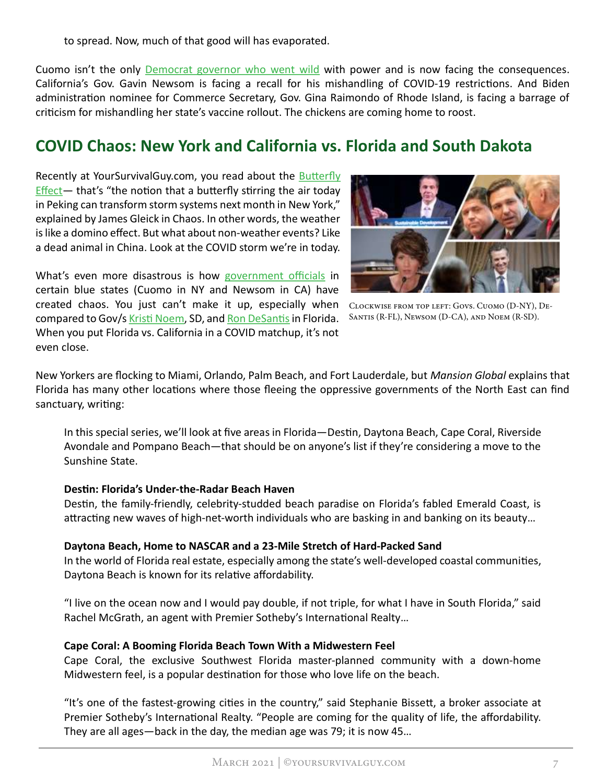to spread. Now, much of that good will has evaporated.

Cuomo isn't the only [Democrat governor who went wild](https://www.yoursurvivalguy.com/financial-security/the-unintended-consequences-of-governors-gone-wild/) with power and is now facing the consequences. California's Gov. Gavin Newsom is facing a recall for his mishandling of COVID-19 restrictions. And Biden administration nominee for Commerce Secretary, Gov. Gina Raimondo of Rhode Island, is facing a barrage of criticism for mishandling her state's vaccine rollout. The chickens are coming home to roost.

# COVID Chaos: New York and California vs. Florida and South Dakota

Recently at YourSurvivalGuy.com, you read about the Butterfly  $E$ ffect— that's "the notion that a butterfly stirring the air today in Peking can transform storm systems next month in New York," explained by James Gleick in Chaos. In other words, the weather is like a domino effect. But what about non-weather events? Like a dead animal in China. Look at the COVID storm we're in today.

What's even more disastrous is how government officials in certain blue states (Cuomo in NY and Newsom in CA) have created chaos. You just can't make it up, especially when compared to Gov/s Kristi Noem, SD, and Ron DeSantis in Florida. When you put Florida vs. California in a COVID matchup, it's not even close.



CLOCKWISE FROM TOP LEFT: GOVS. CUOMO (D-NY), DE-SANTIS (R-FL), NEWSOM (D-CA), AND NOEM (R-SD).

New Yorkers are flocking to Miami, Orlando, Palm Beach, and Fort Lauderdale, but Mansion Global explains that Florida has many other locations where those fleeing the oppressive governments of the North East can find sanctuary, writing:

In this special series, we'll look at five areas in Florida—Destin, Daytona Beach, Cape Coral, Riverside Avondale and Pompano Beach—that should be on anyone's list if they're considering a move to the Sunshine State.

#### Destin: Florida's Under-the-Radar Beach Haven

Destin, the family-friendly, celebrity-studded beach paradise on Florida's fabled Emerald Coast, is attracting new waves of high-net-worth individuals who are basking in and banking on its beauty...

### Daytona Beach, Home to NASCAR and a 23-Mile Stretch of Hard-Packed Sand

In the world of Florida real estate, especially among the state's well-developed coastal communities, Daytona Beach is known for its relative affordability.

"I live on the ocean now and I would pay double, if not triple, for what I have in South Florida," said Rachel McGrath, an agent with Premier Sotheby's International Realty...

#### Cape Coral: A Booming Florida Beach Town With a Midwestern Feel

Cape Coral, the exclusive Southwest Florida master-planned community with a down-home Midwestern feel, is a popular destination for those who love life on the beach.

"It's one of the fastest-growing cities in the country," said Stephanie Bissett, a broker associate at Premier Sotheby's International Realty. "People are coming for the quality of life, the affordability. They are all ages—back in the day, the median age was 79; it is now 45…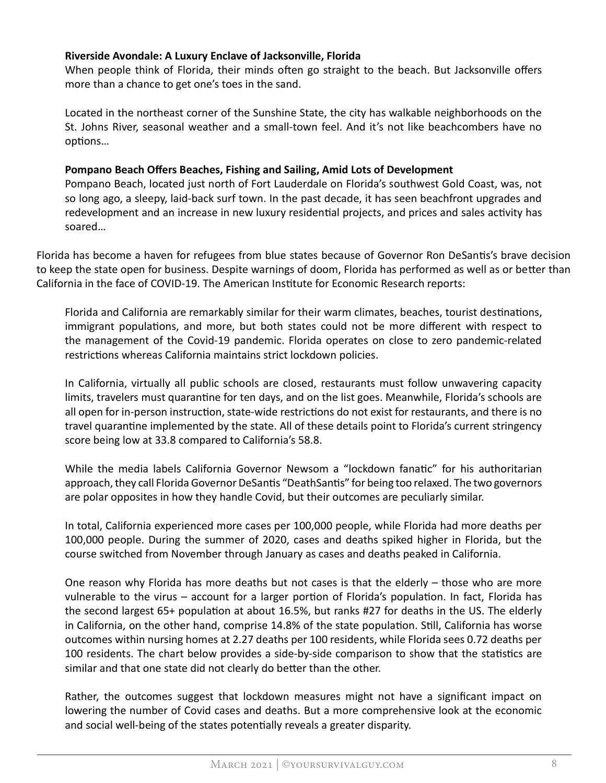### Riverside Avondale: A Luxury Enclave of Jacksonville, Florida

When people think of Florida, their minds often go straight to the beach. But Jacksonville offers more than a chance to get one's toes in the sand.

Located in the northeast corner of the Sunshine State, the city has walkable neighborhoods on the St. Johns River, seasonal weather and a small-town feel. And it's not like beachcombers have no options...

### Pompano Beach Offers Beaches, Fishing and Sailing, Amid Lots of Development

Pompano Beach, located just north of Fort Lauderdale on Florida's southwest Gold Coast, was, not so long ago, a sleepy, laid-back surf town. In the past decade, it has seen beachfront upgrades and redevelopment and an increase in new luxury residential projects, and prices and sales activity has soared…

Florida has become a haven for refugees from blue states because of Governor Ron DeSantis's brave decision to keep the state open for business. Despite warnings of doom, Florida has performed as well as or better than California in the face of COVID-19. The American Institute for Economic Research reports:

Florida and California are remarkably similar for their warm climates, beaches, tourist destinations, immigrant populations, and more, but both states could not be more different with respect to the management of the Covid-19 pandemic. Florida operates on close to zero pandemic-related restrictions whereas California maintains strict lockdown policies.

In California, virtually all public schools are closed, restaurants must follow unwavering capacity limits, travelers must quarantine for ten days, and on the list goes. Meanwhile, Florida's schools are all open for in-person instruction, state-wide restrictions do not exist for restaurants, and there is no travel quarantine implemented by the state. All of these details point to Florida's current stringency score being low at 33.8 compared to California's 58.8.

While the media labels California Governor Newsom a "lockdown fanatic" for his authoritarian approach, they call Florida Governor DeSantis "DeathSantis" for being too relaxed. The two governors are polar opposites in how they handle Covid, but their outcomes are peculiarly similar.

In total, California experienced more cases per 100,000 people, while Florida had more deaths per 100,000 people. During the summer of 2020, cases and deaths spiked higher in Florida, but the course switched from November through January as cases and deaths peaked in California.

One reason why Florida has more deaths but not cases is that the elderly – those who are more vulnerable to the virus – account for a larger portion of Florida's population. In fact, Florida has the second largest 65+ population at about 16.5%, but ranks #27 for deaths in the US. The elderly in California, on the other hand, comprise 14.8% of the state population. Still, California has worse outcomes within nursing homes at 2.27 deaths per 100 residents, while Florida sees 0.72 deaths per 100 residents. The chart below provides a side-by-side comparison to show that the statistics are similar and that one state did not clearly do better than the other.

Rather, the outcomes suggest that lockdown measures might not have a significant impact on lowering the number of Covid cases and deaths. But a more comprehensive look at the economic and social well-being of the states potentially reveals a greater disparity.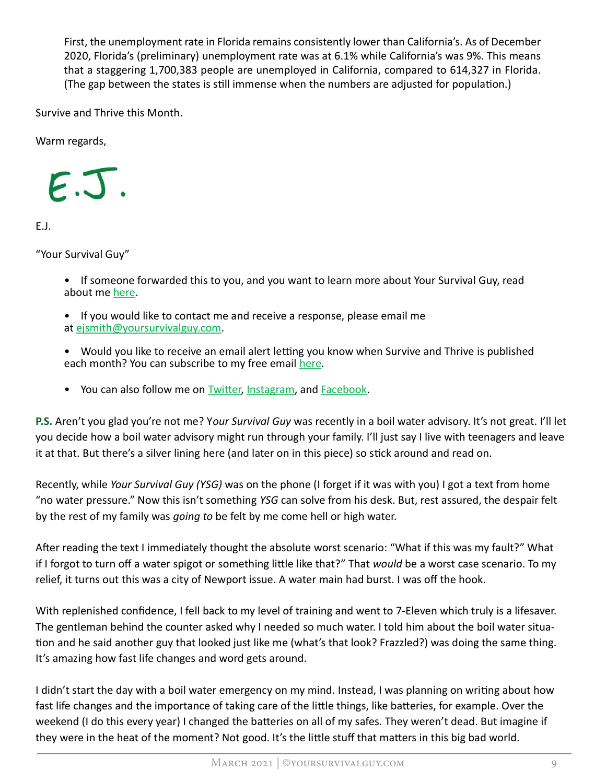First, the unemployment rate in Florida remains consistently lower than California's. As of December 2020, Florida's (preliminary) unemployment rate was at 6.1% while California's was 9%. This means that a staggering 1,700,383 people are unemployed in California, compared to 614,327 in Florida. (The gap between the states is still immense when the numbers are adjusted for population.)

Survive and Thrive this Month.

Warm regards,



E.J.

"Your Survival Guy"

- If someone forwarded this to you, and you want to learn more about Your Survival Guy, read about m[e here.](https://www.yoursurvivalguy.com/about-me/)
- If you would like to contact me and receive a response, please email me at eismith@yoursurvivalguy.com.
- Would you like to receive an email alert letting you know when Survive and Thrive is published each month? You can subscribe to my free emai[l here.](https://forms.aweber.com/form/78/229550378.htm)
- You can also follow me on **Twitter**, [Instagram,](https://www.instagram.com/yoursurvivalguy/) and **Facebook**.

P.S. Aren't you glad you're not me? Your Survival Guy was recently in a boil water advisory. It's not great. I'll let you decide how a boil water advisory might run through your family. I'll just say I live with teenagers and leave it at that. But there's a silver lining here (and later on in this piece) so stick around and read on.

Recently, while Your Survival Guy (YSG) was on the phone (I forget if it was with you) I got a text from home "no water pressure." Now this isn't something YSG can solve from his desk. But, rest assured, the despair felt by the rest of my family was going to be felt by me come hell or high water.

After reading the text I immediately thought the absolute worst scenario: "What if this was my fault?" What if I forgot to turn off a water spigot or something little like that?" That would be a worst case scenario. To my relief, it turns out this was a city of Newport issue. A water main had burst. I was off the hook.

With replenished confidence, I fell back to my level of training and went to 7-Eleven which truly is a lifesaver. The gentleman behind the counter asked why I needed so much water. I told him about the boil water situation and he said another guy that looked just like me (what's that look? Frazzled?) was doing the same thing. It's amazing how fast life changes and word gets around.

I didn't start the day with a boil water emergency on my mind. Instead, I was planning on writing about how fast life changes and the importance of taking care of the little things, like batteries, for example. Over the weekend (I do this every year) I changed the batteries on all of my safes. They weren't dead. But imagine if they were in the heat of the moment? Not good. It's the little stuff that matters in this big bad world.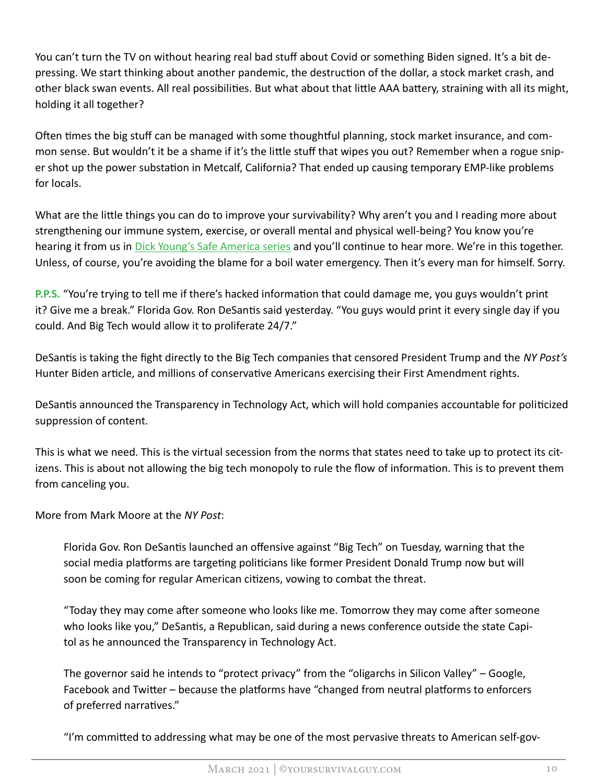You can't turn the TV on without hearing real bad stuff about Covid or something Biden signed. It's a bit depressing. We start thinking about another pandemic, the destruction of the dollar, a stock market crash, and other black swan events. All real possibilities. But what about that little AAA battery, straining with all its might, holding it all together?

Often times the big stuff can be managed with some thoughtful planning, stock market insurance, and common sense. But wouldn't it be a shame if it's the little stuff that wipes you out? Remember when a rogue sniper shot up the power substation in Metcalf, California? That ended up causing temporary EMP-like problems for locals.

What are the little things you can do to improve your survivability? Why aren't you and I reading more about strengthening our i[mmune system, exercise, or overall](https://www.youngsworldmoneyforecast.com/dick-youngs-safe-america-chapter-iii-part-i/) mental and physical well-being? You know you're hearing it from us in Dick Young's Safe America series and you'll continue to hear more. We're in this together. Unless, of course, you're avoiding the blame for a boil water emergency. Then it's every man for himself. Sorry.

**P.P.S.** "You're trying to tell me if there's hacked information that could damage me, you guys wouldn't print it? Give me a break." Florida Gov. Ron DeSantis said yesterday. "You guys would print it every single day if you could. And Big Tech would allow it to proliferate 24/7."

DeSantis is taking the fight directly to the Big Tech companies that censored President Trump and the NY Post's Hunter Biden article, and millions of conservative Americans exercising their First Amendment rights.

DeSantis announced the Transparency in Technology Act, which will hold companies accountable for politicized suppression of content.

This is what we need. This is the virtual secession from the norms that states need to take up to protect its citizens. This is about not allowing the big tech monopoly to rule the flow of information. This is to prevent them from canceling you.

More from Mark Moore at the NY Post:

Florida Gov. Ron DeSantis launched an offensive against "Big Tech" on Tuesday, warning that the social media platforms are targeting politicians like former President Donald Trump now but will soon be coming for regular American citizens, vowing to combat the threat.

"Today they may come after someone who looks like me. Tomorrow they may come after someone who looks like you," DeSantis, a Republican, said during a news conference outside the state Capitol as he announced the Transparency in Technology Act.

The governor said he intends to "protect privacy" from the "oligarchs in Silicon Valley" – Google, Facebook and Twitter – because the platforms have "changed from neutral platforms to enforcers of preferred narratives."

"I'm committed to addressing what may be one of the most pervasive threats to American self-gov-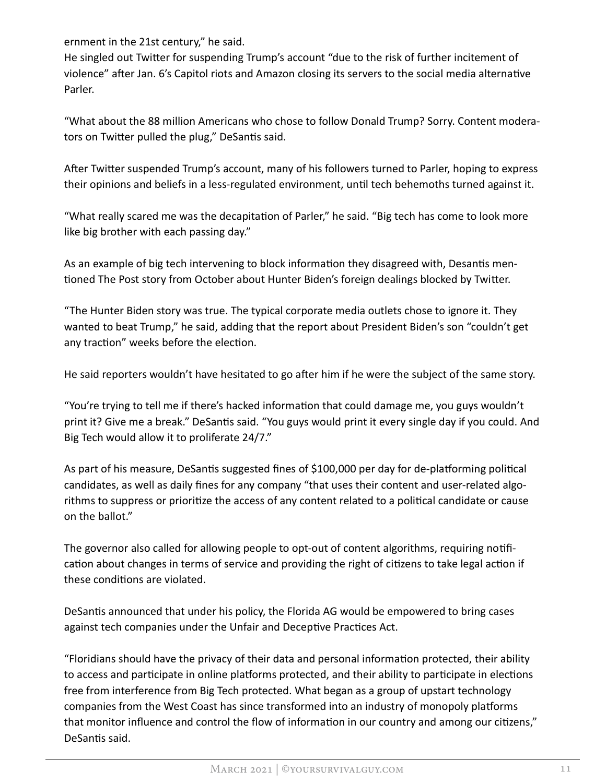ernment in the 21st century," he said.

He singled out Twitter for suspending Trump's account "due to the risk of further incitement of violence" after Jan. 6's Capitol riots and Amazon closing its servers to the social media alternative Parler.

"What about the 88 million Americans who chose to follow Donald Trump? Sorry. Content moderators on Twitter pulled the plug," DeSantis said.

After Twitter suspended Trump's account, many of his followers turned to Parler, hoping to express their opinions and beliefs in a less-regulated environment, until tech behemoths turned against it.

"What really scared me was the decapitation of Parler," he said. "Big tech has come to look more like big brother with each passing day."

As an example of big tech intervening to block information they disagreed with, Desantis mentioned The Post story from October about Hunter Biden's foreign dealings blocked by Twitter.

"The Hunter Biden story was true. The typical corporate media outlets chose to ignore it. They wanted to beat Trump," he said, adding that the report about President Biden's son "couldn't get any traction" weeks before the election.

He said reporters wouldn't have hesitated to go after him if he were the subject of the same story.

"You're trying to tell me if there's hacked information that could damage me, you guys wouldn't print it? Give me a break." DeSantis said. "You guys would print it every single day if you could. And Big Tech would allow it to proliferate 24/7."

As part of his measure, DeSantis suggested fines of \$100,000 per day for de-platforming political candidates, as well as daily fines for any company "that uses their content and user-related algorithms to suppress or prioritize the access of any content related to a political candidate or cause on the ballot."

The governor also called for allowing people to opt-out of content algorithms, requiring notification about changes in terms of service and providing the right of citizens to take legal action if these conditions are violated.

DeSantis announced that under his policy, the Florida AG would be empowered to bring cases against tech companies under the Unfair and Deceptive Practices Act.

"Floridians should have the privacy of their data and personal information protected, their ability to access and participate in online platforms protected, and their ability to participate in elections free from interference from Big Tech protected. What began as a group of upstart technology companies from the West Coast has since transformed into an industry of monopoly platforms that monitor influence and control the flow of information in our country and among our citizens," DeSantis said.